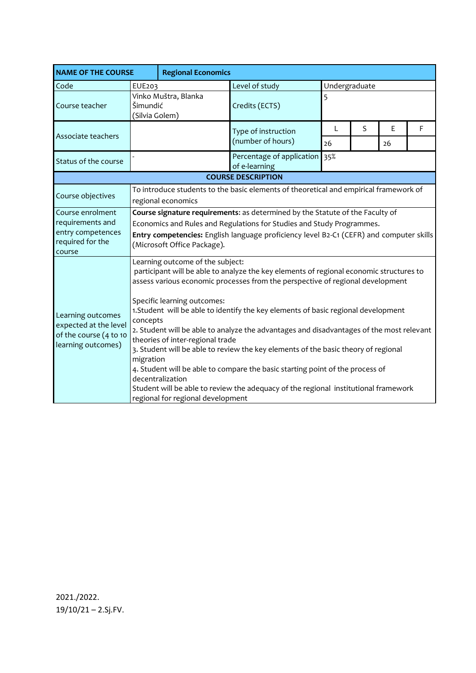| <b>NAME OF THE COURSE</b>                                                                  |                                                                                                                                                                                                                                                                                                                                                                                                                                                                                                                                                                                                                                                                                                                                                                                                                    | <b>Regional Economics</b> |                                            |                    |   |         |   |  |  |  |
|--------------------------------------------------------------------------------------------|--------------------------------------------------------------------------------------------------------------------------------------------------------------------------------------------------------------------------------------------------------------------------------------------------------------------------------------------------------------------------------------------------------------------------------------------------------------------------------------------------------------------------------------------------------------------------------------------------------------------------------------------------------------------------------------------------------------------------------------------------------------------------------------------------------------------|---------------------------|--------------------------------------------|--------------------|---|---------|---|--|--|--|
| Code                                                                                       | EUE203                                                                                                                                                                                                                                                                                                                                                                                                                                                                                                                                                                                                                                                                                                                                                                                                             |                           | Level of study                             | Undergraduate      |   |         |   |  |  |  |
| Course teacher                                                                             | Šimundić<br>(Silvia Golem)                                                                                                                                                                                                                                                                                                                                                                                                                                                                                                                                                                                                                                                                                                                                                                                         | Vinko Muštra, Blanka      | Credits (ECTS)                             | 5                  |   |         |   |  |  |  |
| Associate teachers                                                                         |                                                                                                                                                                                                                                                                                                                                                                                                                                                                                                                                                                                                                                                                                                                                                                                                                    |                           | Type of instruction<br>(number of hours)   | $\mathsf{L}$<br>26 | S | E<br>26 | F |  |  |  |
| Status of the course                                                                       |                                                                                                                                                                                                                                                                                                                                                                                                                                                                                                                                                                                                                                                                                                                                                                                                                    |                           | Percentage of application<br>of e-learning | 35%                |   |         |   |  |  |  |
| <b>COURSE DESCRIPTION</b>                                                                  |                                                                                                                                                                                                                                                                                                                                                                                                                                                                                                                                                                                                                                                                                                                                                                                                                    |                           |                                            |                    |   |         |   |  |  |  |
| Course objectives                                                                          | To introduce students to the basic elements of theoretical and empirical framework of<br>regional economics                                                                                                                                                                                                                                                                                                                                                                                                                                                                                                                                                                                                                                                                                                        |                           |                                            |                    |   |         |   |  |  |  |
| Course enrolment<br>requirements and<br>entry competences<br>required for the<br>course    | Course signature requirements: as determined by the Statute of the Faculty of<br>Economics and Rules and Regulations for Studies and Study Programmes.<br>Entry competencies: English language proficiency level B2-C1 (CEFR) and computer skills<br>(Microsoft Office Package).                                                                                                                                                                                                                                                                                                                                                                                                                                                                                                                                   |                           |                                            |                    |   |         |   |  |  |  |
| Learning outcomes<br>expected at the level<br>of the course (4 to 10<br>learning outcomes) | Learning outcome of the subject:<br>participant will be able to analyze the key elements of regional economic structures to<br>assess various economic processes from the perspective of regional development<br>Specific learning outcomes:<br>1. Student will be able to identify the key elements of basic regional development<br>concepts<br>2. Student will be able to analyze the advantages and disadvantages of the most relevant<br>theories of inter-regional trade<br>3. Student will be able to review the key elements of the basic theory of regional<br>migration<br>4. Student will be able to compare the basic starting point of the process of<br>decentralization<br>Student will be able to review the adequacy of the regional institutional framework<br>regional for regional development |                           |                                            |                    |   |         |   |  |  |  |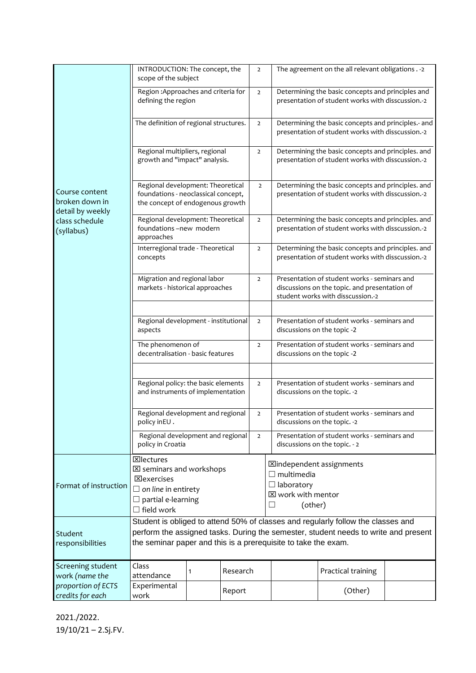|                                                                                      | INTRODUCTION: The concept, the<br>scope of the subject                                                                                                                                                                                                                 |   |          | $\overline{2}$ |  | The agreement on the all relevant obligations . - 2                                                                                |  |  |  |
|--------------------------------------------------------------------------------------|------------------------------------------------------------------------------------------------------------------------------------------------------------------------------------------------------------------------------------------------------------------------|---|----------|----------------|--|------------------------------------------------------------------------------------------------------------------------------------|--|--|--|
| Course content<br>broken down in<br>detail by weekly<br>class schedule<br>(syllabus) | Region: Approaches and criteria for<br>defining the region                                                                                                                                                                                                             |   |          | $\overline{2}$ |  | Determining the basic concepts and principles and<br>presentation of student works with disscussion.-2                             |  |  |  |
|                                                                                      | The definition of regional structures.                                                                                                                                                                                                                                 |   |          | $\overline{2}$ |  | Determining the basic concepts and principles.- and<br>presentation of student works with disscussion.-2                           |  |  |  |
|                                                                                      | Regional multipliers, regional<br>growth and "impact" analysis.                                                                                                                                                                                                        |   |          | $\overline{2}$ |  | Determining the basic concepts and principles. and<br>presentation of student works with disscussion.-2                            |  |  |  |
|                                                                                      | Regional development: Theoretical<br>foundations - neoclassical concept,<br>the concept of endogenous growth                                                                                                                                                           |   |          | $\overline{2}$ |  | Determining the basic concepts and principles. and<br>presentation of student works with disscussion.-2                            |  |  |  |
|                                                                                      | Regional development: Theoretical<br>foundations-new modern<br>approaches                                                                                                                                                                                              |   |          | $\overline{2}$ |  | Determining the basic concepts and principles. and<br>presentation of student works with disscussion.-2                            |  |  |  |
|                                                                                      | Interregional trade - Theoretical<br>concepts                                                                                                                                                                                                                          |   |          | $\overline{2}$ |  | Determining the basic concepts and principles. and<br>presentation of student works with disscussion.-2                            |  |  |  |
|                                                                                      | Migration and regional labor<br>markets - historical approaches                                                                                                                                                                                                        |   |          | $\overline{2}$ |  | Presentation of student works - seminars and<br>discussions on the topic. and presentation of<br>student works with disscussion.-2 |  |  |  |
|                                                                                      |                                                                                                                                                                                                                                                                        |   |          |                |  |                                                                                                                                    |  |  |  |
|                                                                                      | Regional development - institutional<br>aspects                                                                                                                                                                                                                        |   |          | $\overline{2}$ |  | Presentation of student works - seminars and<br>discussions on the topic -2                                                        |  |  |  |
|                                                                                      | The phenomenon of<br>decentralisation - basic features                                                                                                                                                                                                                 |   |          | $\overline{2}$ |  | Presentation of student works - seminars and<br>discussions on the topic -2                                                        |  |  |  |
|                                                                                      |                                                                                                                                                                                                                                                                        |   |          |                |  |                                                                                                                                    |  |  |  |
|                                                                                      | Regional policy: the basic elements<br>and instruments of implementation                                                                                                                                                                                               |   |          |                |  | Presentation of student works - seminars and<br>discussions on the topic. -2                                                       |  |  |  |
|                                                                                      | Regional development and regional<br>policy inEU .                                                                                                                                                                                                                     |   |          | $\overline{2}$ |  | Presentation of student works - seminars and<br>discussions on the topic. -2                                                       |  |  |  |
|                                                                                      | Regional development and regional<br>policy in Croatia                                                                                                                                                                                                                 |   |          | $\overline{2}$ |  | Presentation of student works - seminars and<br>discussions on the topic. - 2                                                      |  |  |  |
| Format of instruction                                                                | <b>X</b> lectures<br><b>⊠independent assignments</b><br>$\boxtimes$ seminars and workshops<br>$\Box$ multimedia<br><b>X</b> exercises<br>$\Box$ laboratory<br>$\Box$ on line in entirety<br>⊠ work with mentor<br>$\Box$ partial e-learning<br>(other)<br>$\mathsf{L}$ |   |          |                |  |                                                                                                                                    |  |  |  |
|                                                                                      | $\Box$ field work<br>Student is obliged to attend 50% of classes and regularly follow the classes and                                                                                                                                                                  |   |          |                |  |                                                                                                                                    |  |  |  |
| Student<br>responsibilities                                                          | the seminar paper and this is a prerequisite to take the exam.                                                                                                                                                                                                         |   |          |                |  | perform the assigned tasks. During the semester, student needs to write and present                                                |  |  |  |
| Screening student<br>work (name the                                                  | Class<br>attendance                                                                                                                                                                                                                                                    | 1 | Research |                |  | Practical training                                                                                                                 |  |  |  |
| proportion of ECTS<br>credits for each                                               | Experimental<br>work                                                                                                                                                                                                                                                   |   | Report   |                |  | (Other)                                                                                                                            |  |  |  |

2021./2022. 19/10/21 – 2.Sj.FV.